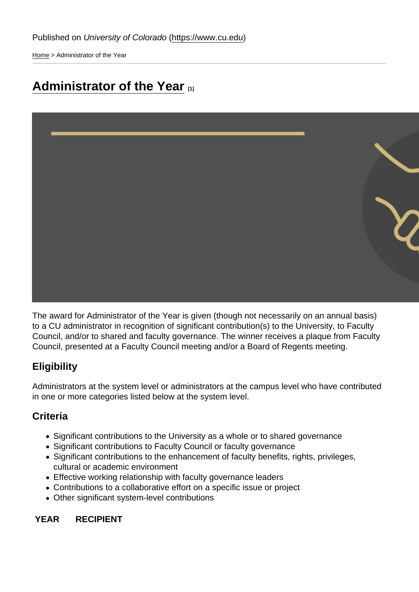[Home](https://www.cu.edu/) > Administrator of the Year

# [Administrator of the Year](https://www.cu.edu/faculty/faculty-council/awards/administrator-year) [1]

The award for Administrator of the Year is given (though not necessarily on an annual basis) to a CU administrator in recognition of significant contribution(s) to the University, to Faculty Council, and/or to shared and faculty governance. The winner receives a plaque from Faculty Council, presented at a Faculty Council meeting and/or a Board of Regents meeting.

## **Eligibility**

Administrators at the system level or administrators at the campus level who have contributed in one or more categories listed below at the system level.

## **Criteria**

- Significant contributions to the University as a whole or to shared governance
- Significant contributions to Faculty Council or faculty governance
- Significant contributions to the enhancement of faculty benefits, rights, privileges, cultural or academic environment
- Effective working relationship with faculty governance leaders
- Contributions to a collaborative effort on a specific issue or project
- Other significant system-level contributions

YEAR RECIPIENT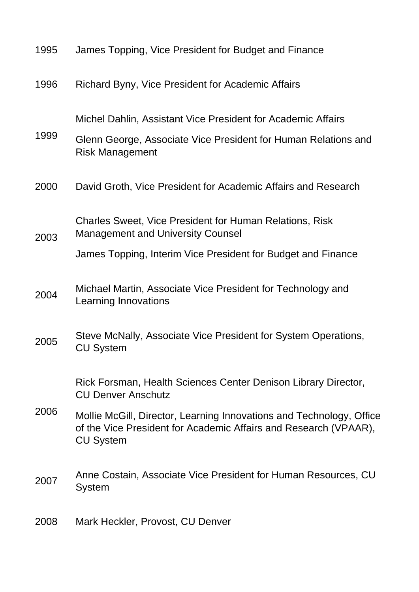| 1995 | James Topping, Vice President for Budget and Finance                                                                                                         |
|------|--------------------------------------------------------------------------------------------------------------------------------------------------------------|
| 1996 | Richard Byny, Vice President for Academic Affairs                                                                                                            |
| 1999 | Michel Dahlin, Assistant Vice President for Academic Affairs<br>Glenn George, Associate Vice President for Human Relations and                               |
| 2000 | <b>Risk Management</b><br>David Groth, Vice President for Academic Affairs and Research                                                                      |
| 2003 | <b>Charles Sweet, Vice President for Human Relations, Risk</b><br><b>Management and University Counsel</b>                                                   |
|      | James Topping, Interim Vice President for Budget and Finance                                                                                                 |
| 2004 | Michael Martin, Associate Vice President for Technology and<br>Learning Innovations                                                                          |
| 2005 | Steve McNally, Associate Vice President for System Operations,<br><b>CU System</b>                                                                           |
| 2006 | Rick Forsman, Health Sciences Center Denison Library Director,<br><b>CU Denver Anschutz</b>                                                                  |
|      | Mollie McGill, Director, Learning Innovations and Technology, Office<br>of the Vice President for Academic Affairs and Research (VPAAR),<br><b>CU System</b> |
| 2007 | Anne Costain, Associate Vice President for Human Resources, CU<br>System                                                                                     |
| 2008 | Mark Heckler, Provost, CU Denver                                                                                                                             |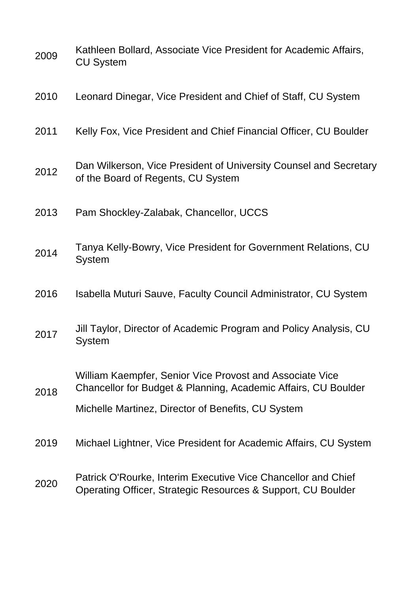| 2009 | Kathleen Bollard, Associate Vice President for Academic Affairs,<br><b>CU System</b>                                          |
|------|-------------------------------------------------------------------------------------------------------------------------------|
| 2010 | Leonard Dinegar, Vice President and Chief of Staff, CU System                                                                 |
| 2011 | Kelly Fox, Vice President and Chief Financial Officer, CU Boulder                                                             |
| 2012 | Dan Wilkerson, Vice President of University Counsel and Secretary<br>of the Board of Regents, CU System                       |
| 2013 | Pam Shockley-Zalabak, Chancellor, UCCS                                                                                        |
| 2014 | Tanya Kelly-Bowry, Vice President for Government Relations, CU<br><b>System</b>                                               |
| 2016 | Isabella Muturi Sauve, Faculty Council Administrator, CU System                                                               |
| 2017 | Jill Taylor, Director of Academic Program and Policy Analysis, CU<br>System                                                   |
| 2018 | William Kaempfer, Senior Vice Provost and Associate Vice<br>Chancellor for Budget & Planning, Academic Affairs, CU Boulder    |
|      | Michelle Martinez, Director of Benefits, CU System                                                                            |
| 2019 | Michael Lightner, Vice President for Academic Affairs, CU System                                                              |
| 2020 | Patrick O'Rourke, Interim Executive Vice Chancellor and Chief<br>Operating Officer, Strategic Resources & Support, CU Boulder |